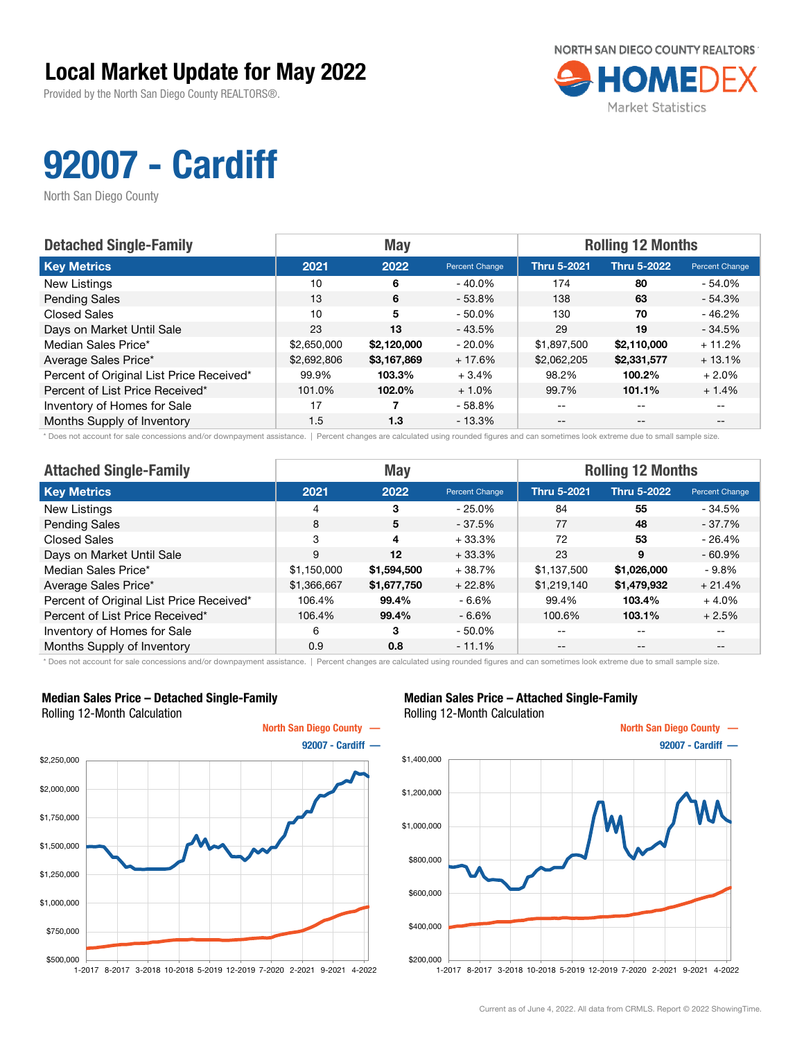Provided by the North San Diego County REALTORS®.



## 92007 - Cardiff

North San Diego County

| <b>Detached Single-Family</b>            |             | <b>May</b>  |                | <b>Rolling 12 Months</b> |                    |                |  |
|------------------------------------------|-------------|-------------|----------------|--------------------------|--------------------|----------------|--|
| <b>Key Metrics</b>                       | 2021        | 2022        | Percent Change | <b>Thru 5-2021</b>       | <b>Thru 5-2022</b> | Percent Change |  |
| New Listings                             | 10          | 6           | $-40.0\%$      | 174                      | 80                 | $-54.0%$       |  |
| <b>Pending Sales</b>                     | 13          | 6           | $-53.8%$       | 138                      | 63                 | $-54.3%$       |  |
| <b>Closed Sales</b>                      | 10          | 5           | $-50.0\%$      | 130                      | 70                 | $-46.2%$       |  |
| Days on Market Until Sale                | 23          | 13          | $-43.5%$       | 29                       | 19                 | $-34.5%$       |  |
| Median Sales Price*                      | \$2,650,000 | \$2,120,000 | $-20.0\%$      | \$1,897,500              | \$2,110,000        | $+11.2%$       |  |
| Average Sales Price*                     | \$2,692,806 | \$3,167,869 | $+17.6%$       | \$2,062,205              | \$2,331,577        | $+13.1%$       |  |
| Percent of Original List Price Received* | 99.9%       | 103.3%      | $+3.4%$        | 98.2%                    | 100.2%             | $+2.0%$        |  |
| Percent of List Price Received*          | 101.0%      | 102.0%      | $+1.0%$        | 99.7%                    | 101.1%             | $+1.4%$        |  |
| Inventory of Homes for Sale              | 17          |             | $-58.8\%$      | $\qquad \qquad -$        | $- -$              |                |  |
| Months Supply of Inventory               | 1.5         | 1.3         | $-13.3\%$      | --                       | $- -$              |                |  |

\* Does not account for sale concessions and/or downpayment assistance. | Percent changes are calculated using rounded figures and can sometimes look extreme due to small sample size.

| <b>Attached Single-Family</b>            |             | <b>May</b>  |                | <b>Rolling 12 Months</b> |                    |                |  |
|------------------------------------------|-------------|-------------|----------------|--------------------------|--------------------|----------------|--|
| <b>Key Metrics</b>                       | 2021        | 2022        | Percent Change | <b>Thru 5-2021</b>       | <b>Thru 5-2022</b> | Percent Change |  |
| <b>New Listings</b>                      | 4           | 3           | $-25.0\%$      | 84                       | 55                 | - 34.5%        |  |
| <b>Pending Sales</b>                     | 8           | 5           | $-37.5%$       | 77                       | 48                 | $-37.7%$       |  |
| <b>Closed Sales</b>                      | 3           | 4           | $+33.3%$       | 72                       | 53                 | $-26.4%$       |  |
| Days on Market Until Sale                | 9           | $12 \,$     | $+33.3%$       | 23                       | 9                  | $-60.9%$       |  |
| Median Sales Price*                      | \$1,150,000 | \$1,594,500 | $+38.7%$       | \$1,137,500              | \$1,026,000        | - 9.8%         |  |
| Average Sales Price*                     | \$1,366,667 | \$1,677,750 | $+22.8%$       | \$1,219,140              | \$1,479,932        | $+21.4%$       |  |
| Percent of Original List Price Received* | 106.4%      | 99.4%       | - 6.6%         | 99.4%                    | 103.4%             | $+4.0%$        |  |
| Percent of List Price Received*          | 106.4%      | 99.4%       | $-6.6\%$       | 100.6%                   | 103.1%             | $+2.5%$        |  |
| Inventory of Homes for Sale              | 6           | 3           | $-50.0\%$      | --                       | $- -$              | $- -$          |  |
| Months Supply of Inventory               | 0.9         | 0.8         | $-11.1%$       | $- -$                    | $\qquad \qquad -$  | $- -$          |  |

\* Does not account for sale concessions and/or downpayment assistance. | Percent changes are calculated using rounded figures and can sometimes look extreme due to small sample size.

#### Median Sales Price – Detached Single-Family Rolling 12-Month Calculation



### Median Sales Price – Attached Single-Family Rolling 12-Month Calculation

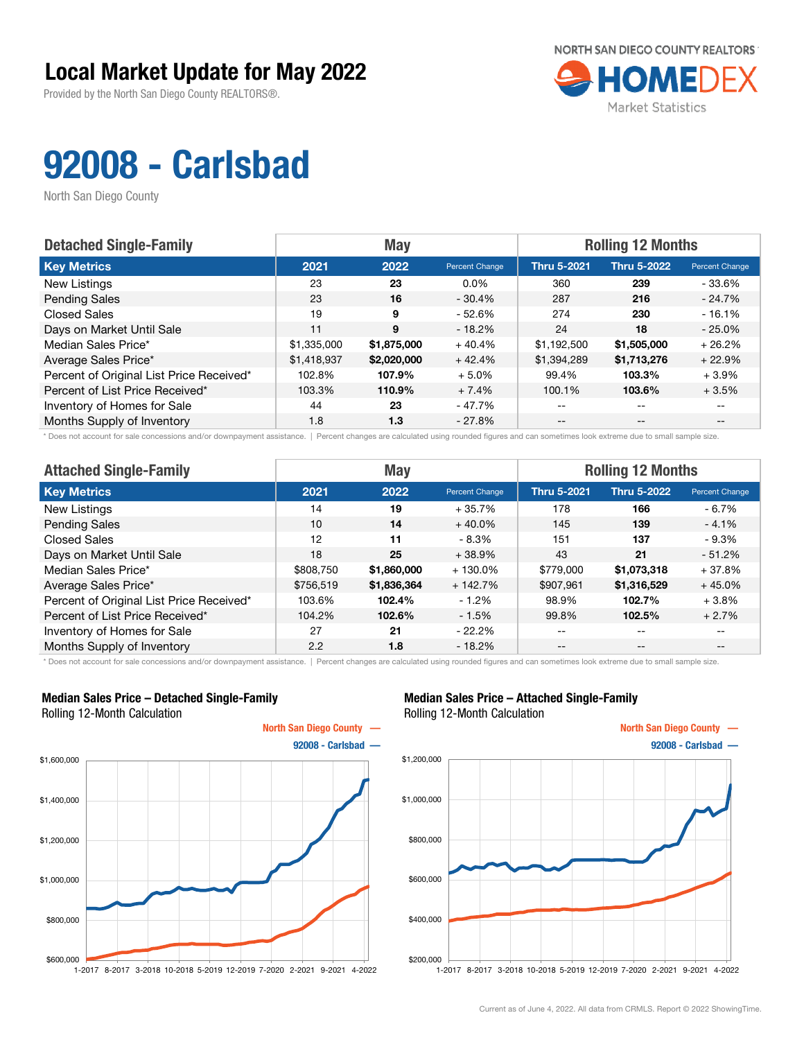Provided by the North San Diego County REALTORS®.



# 92008 - Carlsbad

North San Diego County

| <b>Detached Single-Family</b>            | <b>May</b>  |             |                | <b>Rolling 12 Months</b> |                    |                |  |
|------------------------------------------|-------------|-------------|----------------|--------------------------|--------------------|----------------|--|
| <b>Key Metrics</b>                       | 2021        | 2022        | Percent Change | <b>Thru 5-2021</b>       | <b>Thru 5-2022</b> | Percent Change |  |
| New Listings                             | 23          | 23          | $0.0\%$        | 360                      | 239                | - 33.6%        |  |
| <b>Pending Sales</b>                     | 23          | 16          | $-30.4%$       | 287                      | 216                | $-24.7%$       |  |
| <b>Closed Sales</b>                      | 19          | 9           | - 52.6%        | 274                      | 230                | $-16.1%$       |  |
| Days on Market Until Sale                | 11          | 9           | $-18.2%$       | 24                       | 18                 | $-25.0%$       |  |
| Median Sales Price*                      | \$1,335,000 | \$1,875,000 | $+40.4%$       | \$1,192,500              | \$1,505,000        | $+26.2%$       |  |
| Average Sales Price*                     | \$1,418,937 | \$2,020,000 | $+42.4%$       | \$1,394,289              | \$1,713,276        | $+22.9%$       |  |
| Percent of Original List Price Received* | 102.8%      | 107.9%      | $+5.0\%$       | 99.4%                    | 103.3%             | $+3.9\%$       |  |
| Percent of List Price Received*          | 103.3%      | 110.9%      | $+7.4%$        | 100.1%                   | 103.6%             | $+3.5%$        |  |
| Inventory of Homes for Sale              | 44          | 23          | - 47.7%        | $- -$                    | $-$                |                |  |
| Months Supply of Inventory               | 1.8         | 1.3         | $-27.8\%$      | $- -$                    | $- -$              |                |  |

\* Does not account for sale concessions and/or downpayment assistance. | Percent changes are calculated using rounded figures and can sometimes look extreme due to small sample size.

| <b>Attached Single-Family</b>            |           | <b>May</b>  |                | <b>Rolling 12 Months</b> |                    |                |  |
|------------------------------------------|-----------|-------------|----------------|--------------------------|--------------------|----------------|--|
| <b>Key Metrics</b>                       | 2021      | 2022        | Percent Change | <b>Thru 5-2021</b>       | <b>Thru 5-2022</b> | Percent Change |  |
| New Listings                             | 14        | 19          | $+35.7\%$      | 178                      | 166                | - 6.7%         |  |
| <b>Pending Sales</b>                     | 10        | 14          | $+40.0\%$      | 145                      | 139                | $-4.1%$        |  |
| <b>Closed Sales</b>                      | 12        | 11          | - 8.3%         | 151                      | 137                | - 9.3%         |  |
| Days on Market Until Sale                | 18        | 25          | $+38.9%$       | 43                       | 21                 | $-51.2\%$      |  |
| Median Sales Price*                      | \$808.750 | \$1,860,000 | $+130.0\%$     | \$779,000                | \$1,073,318        | $+37.8%$       |  |
| Average Sales Price*                     | \$756,519 | \$1,836,364 | $+142.7%$      | \$907,961                | \$1,316,529        | $+45.0%$       |  |
| Percent of Original List Price Received* | 103.6%    | 102.4%      | $-1.2%$        | 98.9%                    | 102.7%             | $+3.8\%$       |  |
| Percent of List Price Received*          | 104.2%    | 102.6%      | $-1.5%$        | 99.8%                    | 102.5%             | $+2.7%$        |  |
| Inventory of Homes for Sale              | 27        | 21          | $-22.2%$       | --                       | $- -$              |                |  |
| Months Supply of Inventory               | 2.2       | 1.8         | $-18.2%$       | --                       | $- -$              |                |  |

\* Does not account for sale concessions and/or downpayment assistance. | Percent changes are calculated using rounded figures and can sometimes look extreme due to small sample size.

### Median Sales Price – Detached Single-Family Rolling 12-Month Calculation



### Median Sales Price – Attached Single-Family Rolling 12-Month Calculation

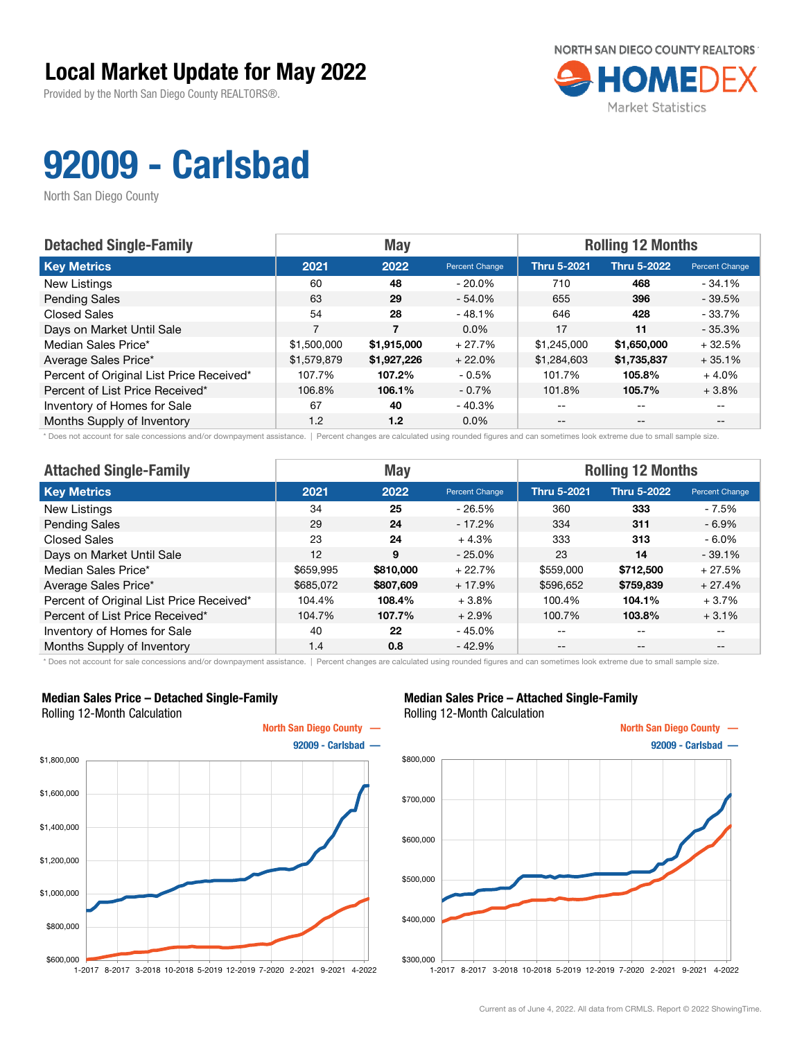Provided by the North San Diego County REALTORS®.



# 92009 - Carlsbad

North San Diego County

| <b>Detached Single-Family</b>            |             | <b>May</b>  |                | <b>Rolling 12 Months</b> |                    |                |  |
|------------------------------------------|-------------|-------------|----------------|--------------------------|--------------------|----------------|--|
| <b>Key Metrics</b>                       | 2021        | 2022        | Percent Change | <b>Thru 5-2021</b>       | <b>Thru 5-2022</b> | Percent Change |  |
| New Listings                             | 60          | 48          | $-20.0\%$      | 710                      | 468                | $-34.1%$       |  |
| <b>Pending Sales</b>                     | 63          | 29          | $-54.0\%$      | 655                      | 396                | $-39.5%$       |  |
| <b>Closed Sales</b>                      | 54          | 28          | $-48.1%$       | 646                      | 428                | - 33.7%        |  |
| Days on Market Until Sale                | 7           | 7           | $0.0\%$        | 17                       | 11                 | $-35.3%$       |  |
| Median Sales Price*                      | \$1,500,000 | \$1,915,000 | $+27.7%$       | \$1,245,000              | \$1,650,000        | $+32.5%$       |  |
| Average Sales Price*                     | \$1,579,879 | \$1,927,226 | $+22.0%$       | \$1,284,603              | \$1,735,837        | $+35.1%$       |  |
| Percent of Original List Price Received* | 107.7%      | 107.2%      | $-0.5%$        | 101.7%                   | 105.8%             | $+4.0%$        |  |
| Percent of List Price Received*          | 106.8%      | 106.1%      | $-0.7%$        | 101.8%                   | 105.7%             | $+3.8%$        |  |
| Inventory of Homes for Sale              | 67          | 40          | - 40.3%        | $- -$                    | $-$                |                |  |
| Months Supply of Inventory               | 1.2         | 1.2         | $0.0\%$        | $- -$                    | $- -$              |                |  |

\* Does not account for sale concessions and/or downpayment assistance. | Percent changes are calculated using rounded figures and can sometimes look extreme due to small sample size.

| <b>Attached Single-Family</b>            |           | <b>May</b> |                | <b>Rolling 12 Months</b> |                    |                |  |
|------------------------------------------|-----------|------------|----------------|--------------------------|--------------------|----------------|--|
| <b>Key Metrics</b>                       | 2021      | 2022       | Percent Change | <b>Thru 5-2021</b>       | <b>Thru 5-2022</b> | Percent Change |  |
| New Listings                             | 34        | 25         | $-26.5%$       | 360                      | 333                | - 7.5%         |  |
| <b>Pending Sales</b>                     | 29        | 24         | $-17.2%$       | 334                      | 311                | - 6.9%         |  |
| Closed Sales                             | 23        | 24         | $+4.3%$        | 333                      | 313                | - 6.0%         |  |
| Days on Market Until Sale                | 12        | 9          | $-25.0%$       | 23                       | 14                 | $-39.1%$       |  |
| Median Sales Price*                      | \$659.995 | \$810,000  | $+22.7%$       | \$559,000                | \$712,500          | $+27.5%$       |  |
| Average Sales Price*                     | \$685,072 | \$807,609  | $+17.9%$       | \$596,652                | \$759,839          | $+27.4%$       |  |
| Percent of Original List Price Received* | 104.4%    | 108.4%     | $+3.8%$        | 100.4%                   | 104.1%             | $+3.7%$        |  |
| Percent of List Price Received*          | 104.7%    | 107.7%     | $+2.9%$        | 100.7%                   | 103.8%             | $+3.1%$        |  |
| Inventory of Homes for Sale              | 40        | 22         | $-45.0%$       | --                       | $- -$              | --             |  |
| Months Supply of Inventory               | 1.4       | 0.8        | $-42.9%$       | $- -$                    | $- -$              | --             |  |

\* Does not account for sale concessions and/or downpayment assistance. | Percent changes are calculated using rounded figures and can sometimes look extreme due to small sample size.

### Median Sales Price – Detached Single-Family Rolling 12-Month Calculation



### Median Sales Price – Attached Single-Family Rolling 12-Month Calculation

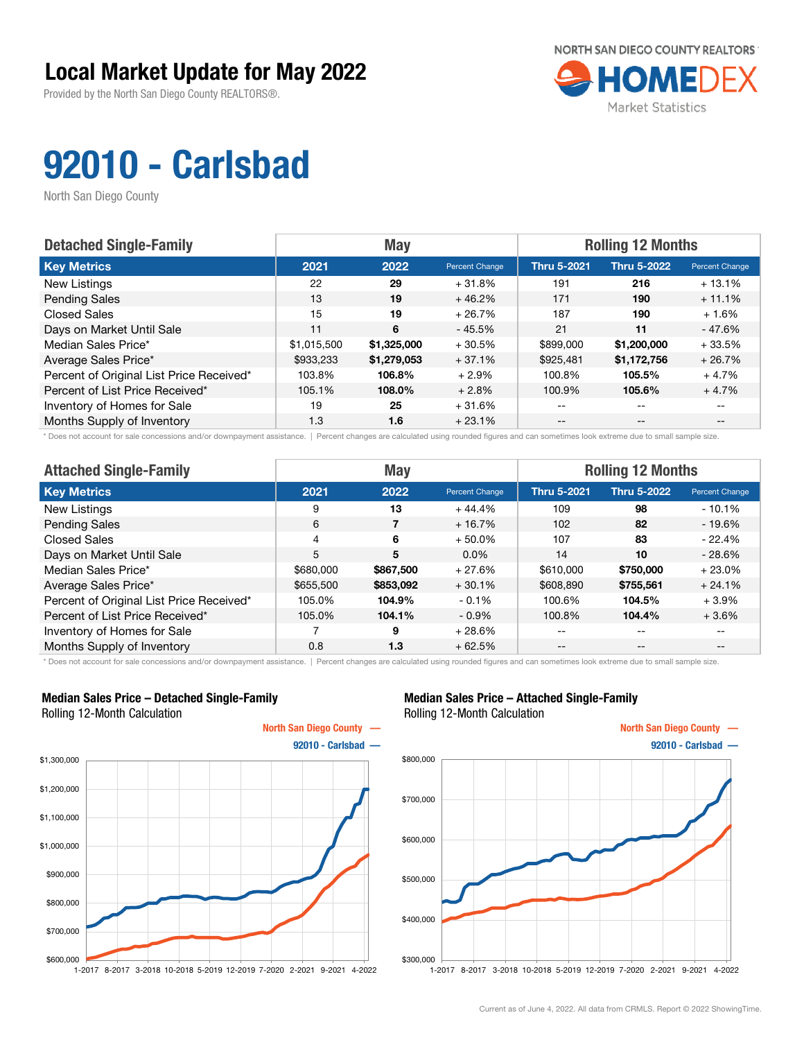Provided by the North San Diego County REALTORS®.



# 92010 - Carlsbad

North San Diego County

| <b>Detached Single-Family</b>            |             | <b>May</b>  |                | <b>Rolling 12 Months</b> |                    |                |  |
|------------------------------------------|-------------|-------------|----------------|--------------------------|--------------------|----------------|--|
| <b>Key Metrics</b>                       | 2021        | 2022        | Percent Change | <b>Thru 5-2021</b>       | <b>Thru 5-2022</b> | Percent Change |  |
| New Listings                             | 22          | 29          | $+31.8%$       | 191                      | 216                | $+13.1%$       |  |
| <b>Pending Sales</b>                     | 13          | 19          | $+46.2%$       | 171                      | 190                | $+11.1%$       |  |
| <b>Closed Sales</b>                      | 15          | 19          | $+26.7%$       | 187                      | 190                | $+1.6%$        |  |
| Days on Market Until Sale                | 11          | 6           | $-45.5%$       | 21                       | 11                 | - 47.6%        |  |
| Median Sales Price*                      | \$1,015,500 | \$1,325,000 | $+30.5%$       | \$899,000                | \$1,200,000        | $+33.5%$       |  |
| Average Sales Price*                     | \$933,233   | \$1,279,053 | $+37.1%$       | \$925,481                | \$1,172,756        | $+26.7%$       |  |
| Percent of Original List Price Received* | 103.8%      | 106.8%      | $+2.9%$        | 100.8%                   | 105.5%             | $+4.7%$        |  |
| Percent of List Price Received*          | 105.1%      | 108.0%      | $+2.8%$        | 100.9%                   | 105.6%             | $+4.7%$        |  |
| Inventory of Homes for Sale              | 19          | 25          | $+31.6%$       | $- -$                    | $-$                |                |  |
| Months Supply of Inventory               | 1.3         | 1.6         | $+23.1%$       | $- -$                    | $- -$              |                |  |

\* Does not account for sale concessions and/or downpayment assistance. | Percent changes are calculated using rounded figures and can sometimes look extreme due to small sample size.

| <b>Attached Single-Family</b>            |           | <b>May</b> |                | <b>Rolling 12 Months</b> |                    |                |  |
|------------------------------------------|-----------|------------|----------------|--------------------------|--------------------|----------------|--|
| <b>Key Metrics</b>                       | 2021      | 2022       | Percent Change | <b>Thru 5-2021</b>       | <b>Thru 5-2022</b> | Percent Change |  |
| New Listings                             | 9         | 13         | $+44.4%$       | 109                      | 98                 | $-10.1\%$      |  |
| <b>Pending Sales</b>                     | 6         |            | $+16.7%$       | 102                      | 82                 | - 19.6%        |  |
| <b>Closed Sales</b>                      | 4         | 6          | $+50.0%$       | 107                      | 83                 | - 22.4%        |  |
| Days on Market Until Sale                | 5         | 5          | $0.0\%$        | 14                       | 10                 | $-28.6\%$      |  |
| Median Sales Price*                      | \$680,000 | \$867,500  | $+27.6%$       | \$610,000                | \$750,000          | $+23.0%$       |  |
| Average Sales Price*                     | \$655,500 | \$853,092  | $+30.1%$       | \$608,890                | \$755,561          | $+24.1%$       |  |
| Percent of Original List Price Received* | 105.0%    | 104.9%     | $-0.1%$        | 100.6%                   | 104.5%             | $+3.9\%$       |  |
| Percent of List Price Received*          | 105.0%    | 104.1%     | $-0.9\%$       | 100.8%                   | 104.4%             | $+3.6%$        |  |
| Inventory of Homes for Sale              |           | 9          | $+28.6%$       | --                       | $- -$              |                |  |
| Months Supply of Inventory               | 0.8       | 1.3        | $+62.5%$       | --                       | $- -$              |                |  |

\* Does not account for sale concessions and/or downpayment assistance. | Percent changes are calculated using rounded figures and can sometimes look extreme due to small sample size.

### Median Sales Price – Detached Single-Family Rolling 12-Month Calculation



### Median Sales Price – Attached Single-Family Rolling 12-Month Calculation

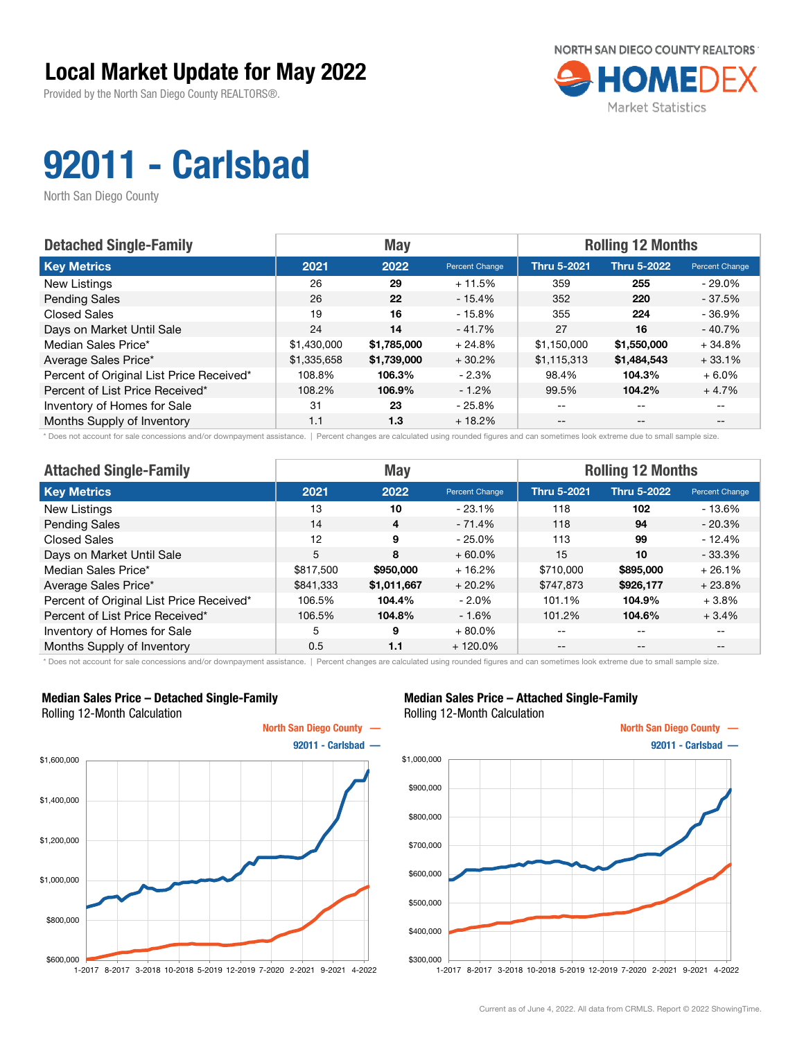Provided by the North San Diego County REALTORS®.



# 92011 - Carlsbad

North San Diego County

| <b>Detached Single-Family</b>            | <b>May</b>  |             |                | <b>Rolling 12 Months</b> |                    |                |  |
|------------------------------------------|-------------|-------------|----------------|--------------------------|--------------------|----------------|--|
| <b>Key Metrics</b>                       | 2021        | 2022        | Percent Change | <b>Thru 5-2021</b>       | <b>Thru 5-2022</b> | Percent Change |  |
| New Listings                             | 26          | 29          | $+11.5%$       | 359                      | 255                | - 29.0%        |  |
| <b>Pending Sales</b>                     | 26          | 22          | $-15.4%$       | 352                      | 220                | $-37.5%$       |  |
| <b>Closed Sales</b>                      | 19          | 16          | - 15.8%        | 355                      | 224                | $-36.9%$       |  |
| Days on Market Until Sale                | 24          | 14          | $-41.7%$       | 27                       | 16                 | $-40.7%$       |  |
| Median Sales Price*                      | \$1,430,000 | \$1,785,000 | $+24.8%$       | \$1,150,000              | \$1,550,000        | $+34.8%$       |  |
| Average Sales Price*                     | \$1,335,658 | \$1,739,000 | $+30.2%$       | \$1,115,313              | \$1,484,543        | $+33.1%$       |  |
| Percent of Original List Price Received* | 108.8%      | 106.3%      | $-2.3%$        | 98.4%                    | 104.3%             | $+6.0\%$       |  |
| Percent of List Price Received*          | 108.2%      | 106.9%      | $-1.2%$        | 99.5%                    | 104.2%             | $+4.7%$        |  |
| Inventory of Homes for Sale              | 31          | 23          | $-25.8\%$      | $- -$                    | $-$                |                |  |
| Months Supply of Inventory               | 1.1         | 1.3         | $+18.2%$       | $- -$                    | $- -$              |                |  |

\* Does not account for sale concessions and/or downpayment assistance. | Percent changes are calculated using rounded figures and can sometimes look extreme due to small sample size.

| <b>Attached Single-Family</b>            |           | <b>May</b>              |                | <b>Rolling 12 Months</b> |                    |                |  |
|------------------------------------------|-----------|-------------------------|----------------|--------------------------|--------------------|----------------|--|
| <b>Key Metrics</b>                       | 2021      | 2022                    | Percent Change | <b>Thru 5-2021</b>       | <b>Thru 5-2022</b> | Percent Change |  |
| New Listings                             | 13        | 10                      | $-23.1%$       | 118                      | 102                | $-13.6%$       |  |
| <b>Pending Sales</b>                     | 14        | $\overline{\mathbf{4}}$ | $-71.4%$       | 118                      | 94                 | $-20.3%$       |  |
| <b>Closed Sales</b>                      | 12        | 9                       | $-25.0%$       | 113                      | 99                 | - 12.4%        |  |
| Days on Market Until Sale                | 5         | 8                       | $+60.0\%$      | 15                       | 10                 | $-33.3\%$      |  |
| Median Sales Price*                      | \$817,500 | \$950,000               | $+16.2%$       | \$710,000                | \$895,000          | $+26.1%$       |  |
| Average Sales Price*                     | \$841,333 | \$1,011,667             | $+20.2%$       | \$747,873                | \$926,177          | $+23.8%$       |  |
| Percent of Original List Price Received* | 106.5%    | 104.4%                  | $-2.0\%$       | 101.1%                   | 104.9%             | $+3.8\%$       |  |
| Percent of List Price Received*          | 106.5%    | 104.8%                  | $-1.6%$        | 101.2%                   | 104.6%             | $+3.4%$        |  |
| Inventory of Homes for Sale              | 5         | 9                       | $+80.0\%$      | --                       | $- -$              | $- -$          |  |
| Months Supply of Inventory               | 0.5       | 1.1                     | $+120.0\%$     | --                       | $- -$              | --             |  |

\* Does not account for sale concessions and/or downpayment assistance. | Percent changes are calculated using rounded figures and can sometimes look extreme due to small sample size.

### Median Sales Price – Detached Single-Family Rolling 12-Month Calculation



### Median Sales Price – Attached Single-Family Rolling 12-Month Calculation

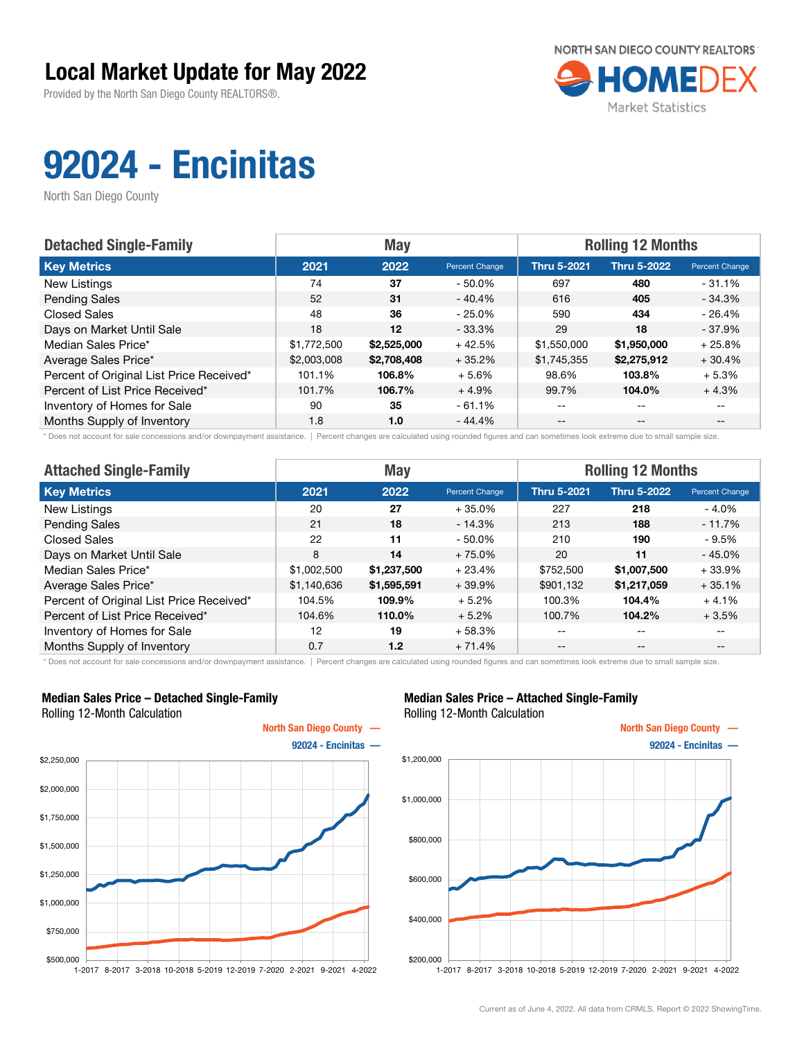Provided by the North San Diego County REALTORS®.



# 92024 - Encinitas

North San Diego County

| <b>Detached Single-Family</b>            |             | <b>May</b>  |                | <b>Rolling 12 Months</b> |                    |                |  |
|------------------------------------------|-------------|-------------|----------------|--------------------------|--------------------|----------------|--|
| <b>Key Metrics</b>                       | 2021        | 2022        | Percent Change | <b>Thru 5-2021</b>       | <b>Thru 5-2022</b> | Percent Change |  |
| New Listings                             | 74          | 37          | $-50.0\%$      | 697                      | 480                | $-31.1\%$      |  |
| <b>Pending Sales</b>                     | 52          | 31          | $-40.4%$       | 616                      | 405                | $-34.3%$       |  |
| <b>Closed Sales</b>                      | 48          | 36          | $-25.0\%$      | 590                      | 434                | $-26.4%$       |  |
| Days on Market Until Sale                | 18          | $12 \,$     | $-33.3\%$      | 29                       | 18                 | - 37.9%        |  |
| Median Sales Price*                      | \$1,772,500 | \$2,525,000 | $+42.5%$       | \$1,550,000              | \$1,950,000        | $+25.8%$       |  |
| Average Sales Price*                     | \$2,003,008 | \$2,708,408 | $+35.2%$       | \$1,745,355              | \$2,275,912        | $+30.4%$       |  |
| Percent of Original List Price Received* | 101.1%      | 106.8%      | $+5.6%$        | 98.6%                    | 103.8%             | $+5.3%$        |  |
| Percent of List Price Received*          | 101.7%      | 106.7%      | $+4.9%$        | 99.7%                    | 104.0%             | $+4.3%$        |  |
| Inventory of Homes for Sale              | 90          | 35          | $-61.1%$       | $- -$                    | $-$                |                |  |
| Months Supply of Inventory               | 1.8         | 1.0         | $-44.4%$       | $- -$                    | $- -$              |                |  |

Does not account for sale concessions and/or downpayment assistance. | Percent changes are calculated using rounded figures and can sometimes look extreme due to small sample size.

| <b>Attached Single-Family</b>            |             | <b>May</b>  |                | <b>Rolling 12 Months</b> |                    |                |  |
|------------------------------------------|-------------|-------------|----------------|--------------------------|--------------------|----------------|--|
| <b>Key Metrics</b>                       | 2021        | 2022        | Percent Change | <b>Thru 5-2021</b>       | <b>Thru 5-2022</b> | Percent Change |  |
| New Listings                             | 20          | 27          | $+35.0%$       | 227                      | 218                | $-4.0\%$       |  |
| <b>Pending Sales</b>                     | 21          | 18          | $-14.3%$       | 213                      | 188                | $-11.7%$       |  |
| <b>Closed Sales</b>                      | 22          | 11          | $-50.0%$       | 210                      | 190                | - 9.5%         |  |
| Days on Market Until Sale                | 8           | 14          | $+75.0%$       | 20                       | 11                 | $-45.0%$       |  |
| Median Sales Price*                      | \$1,002,500 | \$1,237,500 | $+23.4%$       | \$752,500                | \$1,007,500        | $+33.9%$       |  |
| Average Sales Price*                     | \$1,140,636 | \$1,595,591 | $+39.9%$       | \$901,132                | \$1,217,059        | $+35.1%$       |  |
| Percent of Original List Price Received* | 104.5%      | 109.9%      | $+5.2%$        | 100.3%                   | 104.4%             | $+4.1%$        |  |
| Percent of List Price Received*          | 104.6%      | 110.0%      | $+5.2%$        | 100.7%                   | 104.2%             | $+3.5%$        |  |
| Inventory of Homes for Sale              | 12          | 19          | $+58.3%$       | --                       | $- -$              |                |  |
| Months Supply of Inventory               | 0.7         | 1.2         | $+71.4%$       | --                       | $- -$              |                |  |

\* Does not account for sale concessions and/or downpayment assistance. | Percent changes are calculated using rounded figures and can sometimes look extreme due to small sample size.

### Median Sales Price – Detached Single-Family Rolling 12-Month Calculation



### Median Sales Price – Attached Single-Family Rolling 12-Month Calculation

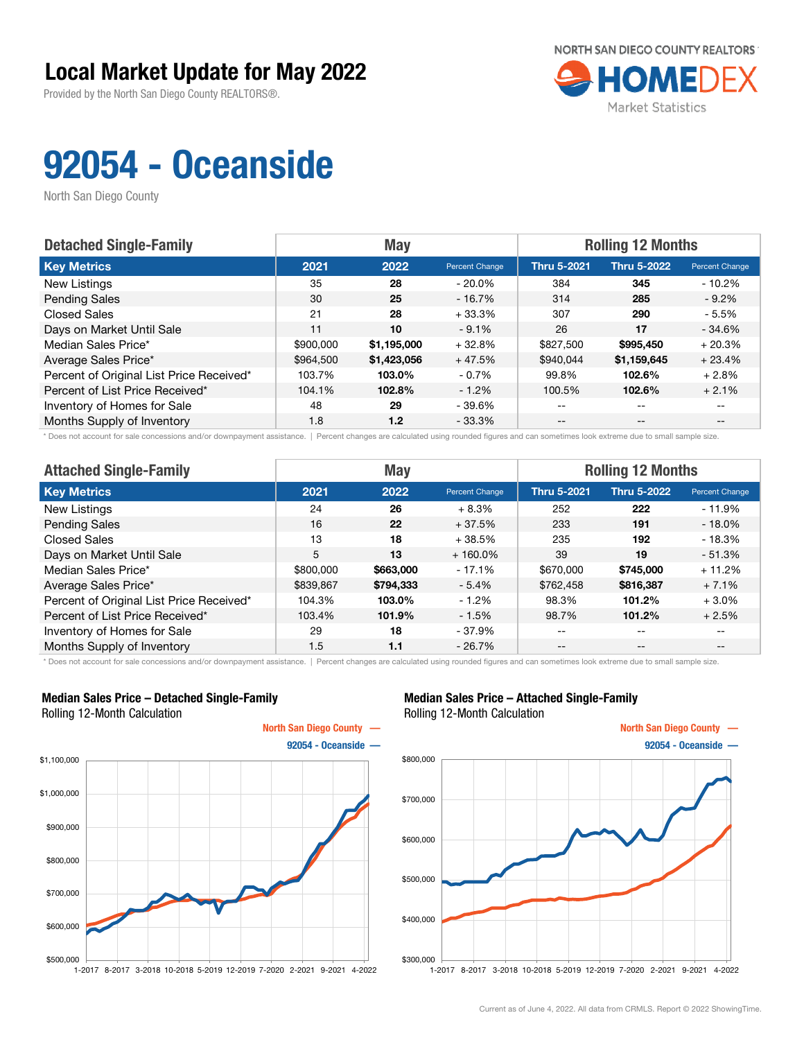Provided by the North San Diego County REALTORS®.



## 92054 - Oceanside

North San Diego County

| <b>Detached Single-Family</b>            |           | <b>May</b>  |                | <b>Rolling 12 Months</b> |                    |                       |  |
|------------------------------------------|-----------|-------------|----------------|--------------------------|--------------------|-----------------------|--|
| <b>Key Metrics</b>                       | 2021      | 2022        | Percent Change | <b>Thru 5-2021</b>       | <b>Thru 5-2022</b> | <b>Percent Change</b> |  |
| New Listings                             | 35        | 28          | $-20.0\%$      | 384                      | 345                | $-10.2\%$             |  |
| <b>Pending Sales</b>                     | 30        | 25          | $-16.7%$       | 314                      | 285                | $-9.2\%$              |  |
| <b>Closed Sales</b>                      | 21        | 28          | $+33.3%$       | 307                      | 290                | $-5.5%$               |  |
| Days on Market Until Sale                | 11        | 10          | $-9.1%$        | 26                       | 17                 | $-34.6%$              |  |
| Median Sales Price*                      | \$900,000 | \$1,195,000 | $+32.8%$       | \$827,500                | \$995,450          | $+20.3%$              |  |
| Average Sales Price*                     | \$964,500 | \$1,423,056 | $+47.5%$       | \$940.044                | \$1,159,645        | $+23.4%$              |  |
| Percent of Original List Price Received* | 103.7%    | 103.0%      | $-0.7%$        | 99.8%                    | 102.6%             | $+2.8%$               |  |
| Percent of List Price Received*          | 104.1%    | 102.8%      | $-1.2%$        | 100.5%                   | 102.6%             | $+2.1%$               |  |
| Inventory of Homes for Sale              | 48        | 29          | $-39.6%$       | --                       | $-$                |                       |  |
| Months Supply of Inventory               | 1.8       | 1.2         | $-33.3\%$      | --                       | $-$                | $- -$                 |  |

\* Does not account for sale concessions and/or downpayment assistance. | Percent changes are calculated using rounded figures and can sometimes look extreme due to small sample size.

| <b>Attached Single-Family</b>            | <b>Rolling 12 Months</b><br><b>May</b> |           |                |                    |             |                |
|------------------------------------------|----------------------------------------|-----------|----------------|--------------------|-------------|----------------|
| <b>Key Metrics</b>                       | 2021                                   | 2022      | Percent Change | <b>Thru 5-2021</b> | Thru 5-2022 | Percent Change |
| New Listings                             | 24                                     | 26        | $+8.3%$        | 252                | 222         | $-11.9%$       |
| <b>Pending Sales</b>                     | 16                                     | 22        | $+37.5%$       | 233                | 191         | $-18.0\%$      |
| <b>Closed Sales</b>                      | 13                                     | 18        | $+38.5%$       | 235                | 192         | $-18.3%$       |
| Days on Market Until Sale                | 5                                      | 13        | $+160.0\%$     | 39                 | 19          | $-51.3%$       |
| Median Sales Price*                      | \$800,000                              | \$663,000 | $-17.1%$       | \$670,000          | \$745,000   | $+11.2%$       |
| Average Sales Price*                     | \$839,867                              | \$794,333 | $-5.4%$        | \$762,458          | \$816,387   | $+7.1%$        |
| Percent of Original List Price Received* | 104.3%                                 | 103.0%    | $-1.2%$        | 98.3%              | 101.2%      | $+3.0%$        |
| Percent of List Price Received*          | 103.4%                                 | 101.9%    | $-1.5%$        | 98.7%              | 101.2%      | $+2.5%$        |
| Inventory of Homes for Sale              | 29                                     | 18        | $-37.9%$       | --                 | $- -$       | $- -$          |
| Months Supply of Inventory               | 1.5                                    | 1.1       | $-26.7%$       | $- -$              | $- -$       | $- -$          |

\* Does not account for sale concessions and/or downpayment assistance. | Percent changes are calculated using rounded figures and can sometimes look extreme due to small sample size.

### Median Sales Price – Detached Single-Family Rolling 12-Month Calculation



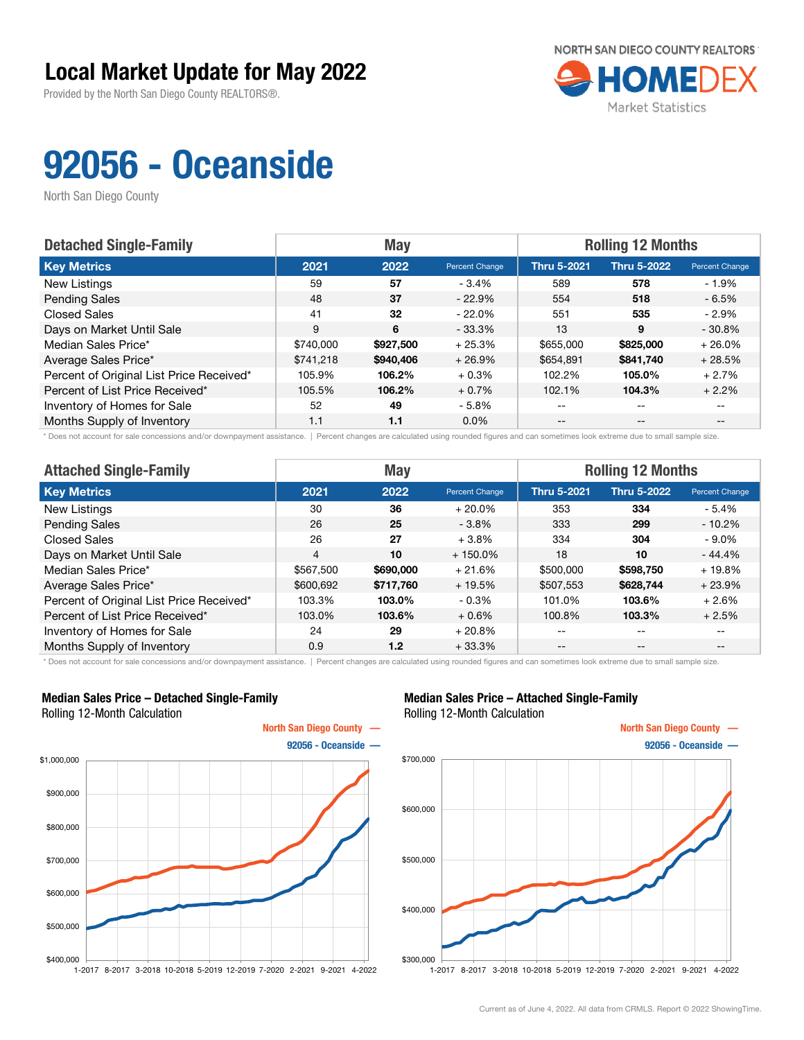Provided by the North San Diego County REALTORS®.



## 92056 - Oceanside

North San Diego County

| <b>Detached Single-Family</b>            |           | <b>May</b> |                | <b>Rolling 12 Months</b> |                    |                       |
|------------------------------------------|-----------|------------|----------------|--------------------------|--------------------|-----------------------|
| <b>Key Metrics</b>                       | 2021      | 2022       | Percent Change | <b>Thru 5-2021</b>       | <b>Thru 5-2022</b> | <b>Percent Change</b> |
| New Listings                             | 59        | 57         | - 3.4%         | 589                      | 578                | - 1.9%                |
| <b>Pending Sales</b>                     | 48        | 37         | $-22.9%$       | 554                      | 518                | $-6.5%$               |
| <b>Closed Sales</b>                      | 41        | 32         | $-22.0\%$      | 551                      | 535                | $-2.9\%$              |
| Days on Market Until Sale                | 9         | 6          | $-33.3%$       | 13                       | 9                  | $-30.8%$              |
| Median Sales Price*                      | \$740,000 | \$927,500  | $+25.3%$       | \$655,000                | \$825,000          | $+26.0%$              |
| Average Sales Price*                     | \$741.218 | \$940,406  | $+26.9%$       | \$654,891                | \$841.740          | $+28.5%$              |
| Percent of Original List Price Received* | 105.9%    | 106.2%     | $+0.3%$        | 102.2%                   | 105.0%             | $+2.7%$               |
| Percent of List Price Received*          | 105.5%    | 106.2%     | $+0.7%$        | 102.1%                   | 104.3%             | $+2.2%$               |
| Inventory of Homes for Sale              | 52        | 49         | $-5.8\%$       | $-$                      | $-$                |                       |
| Months Supply of Inventory               | 1.1       | 1.1        | $0.0\%$        | $- -$                    | $- -$              |                       |

\* Does not account for sale concessions and/or downpayment assistance. | Percent changes are calculated using rounded figures and can sometimes look extreme due to small sample size.

| <b>Attached Single-Family</b>            | <b>May</b>     |           |                | <b>Rolling 12 Months</b> |                    |                |  |
|------------------------------------------|----------------|-----------|----------------|--------------------------|--------------------|----------------|--|
| <b>Key Metrics</b>                       | 2021           | 2022      | Percent Change | <b>Thru 5-2021</b>       | <b>Thru 5-2022</b> | Percent Change |  |
| New Listings                             | 30             | 36        | $+20.0\%$      | 353                      | 334                | $-5.4%$        |  |
| <b>Pending Sales</b>                     | 26             | 25        | $-3.8\%$       | 333                      | 299                | $-10.2\%$      |  |
| <b>Closed Sales</b>                      | 26             | 27        | $+3.8%$        | 334                      | 304                | - 9.0%         |  |
| Days on Market Until Sale                | $\overline{4}$ | 10        | $+150.0\%$     | 18                       | 10                 | $-44.4%$       |  |
| Median Sales Price*                      | \$567,500      | \$690,000 | $+21.6%$       | \$500,000                | \$598,750          | $+19.8%$       |  |
| Average Sales Price*                     | \$600,692      | \$717,760 | $+19.5%$       | \$507,553                | \$628,744          | $+23.9%$       |  |
| Percent of Original List Price Received* | 103.3%         | 103.0%    | $-0.3\%$       | 101.0%                   | 103.6%             | $+2.6%$        |  |
| Percent of List Price Received*          | 103.0%         | 103.6%    | $+0.6%$        | 100.8%                   | 103.3%             | $+2.5%$        |  |
| Inventory of Homes for Sale              | 24             | 29        | $+20.8%$       | --                       | $- -$              | $- -$          |  |
| Months Supply of Inventory               | 0.9            | 1.2       | $+33.3%$       | $- -$                    | $\qquad \qquad -$  | $- -$          |  |

\* Does not account for sale concessions and/or downpayment assistance. | Percent changes are calculated using rounded figures and can sometimes look extreme due to small sample size.

### Median Sales Price – Detached Single-Family Rolling 12-Month Calculation



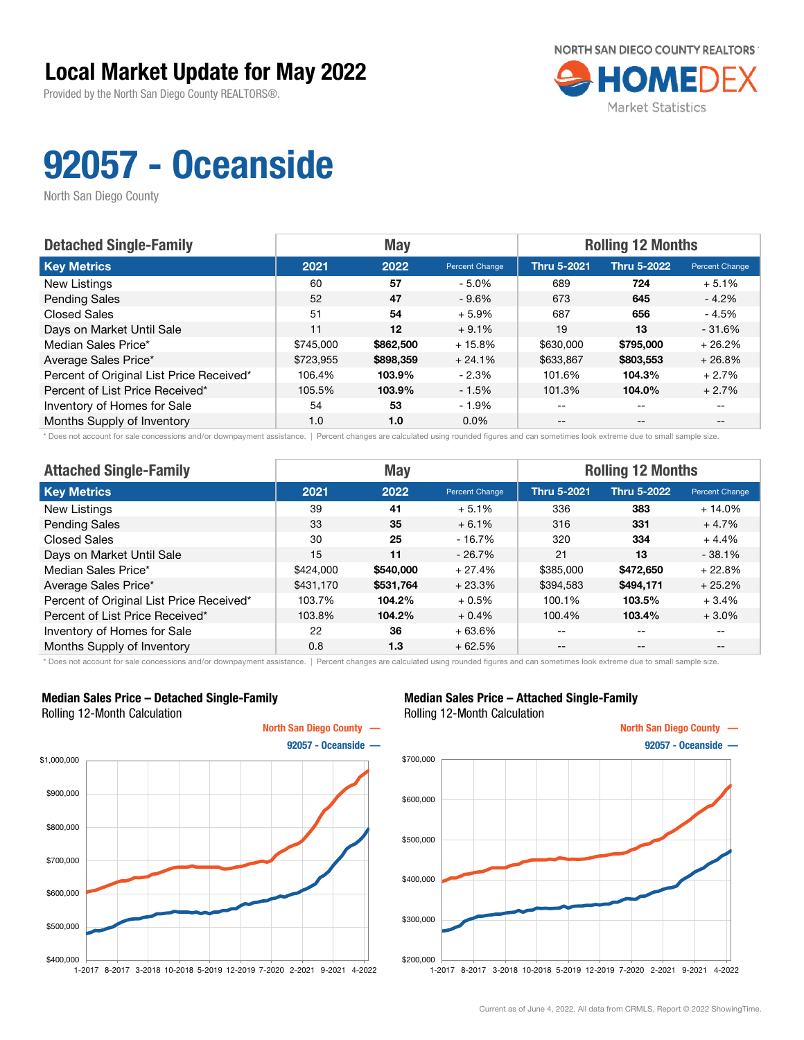Provided by the North San Diego County REALTORS®.



## 92057 - Oceanside

North San Diego County

| <b>Detached Single-Family</b>            |           | <b>May</b> |                | <b>Rolling 12 Months</b> |                    |                       |
|------------------------------------------|-----------|------------|----------------|--------------------------|--------------------|-----------------------|
| <b>Key Metrics</b>                       | 2021      | 2022       | Percent Change | <b>Thru 5-2021</b>       | <b>Thru 5-2022</b> | <b>Percent Change</b> |
| New Listings                             | 60        | 57         | $-5.0%$        | 689                      | 724                | $+5.1%$               |
| <b>Pending Sales</b>                     | 52        | 47         | $-9.6%$        | 673                      | 645                | $-4.2\%$              |
| <b>Closed Sales</b>                      | 51        | 54         | $+5.9%$        | 687                      | 656                | $-4.5%$               |
| Days on Market Until Sale                | 11        | $12 \,$    | $+9.1%$        | 19                       | 13                 | $-31.6%$              |
| Median Sales Price*                      | \$745,000 | \$862,500  | $+15.8%$       | \$630,000                | \$795,000          | $+26.2%$              |
| Average Sales Price*                     | \$723.955 | \$898,359  | $+24.1%$       | \$633,867                | \$803,553          | $+26.8%$              |
| Percent of Original List Price Received* | 106.4%    | 103.9%     | $-2.3%$        | 101.6%                   | 104.3%             | $+2.7%$               |
| Percent of List Price Received*          | 105.5%    | 103.9%     | $-1.5%$        | 101.3%                   | 104.0%             | $+2.7%$               |
| Inventory of Homes for Sale              | 54        | 53         | $-1.9%$        | $- -$                    | $-$                |                       |
| Months Supply of Inventory               | 1.0       | 1.0        | $0.0\%$        | $- -$                    | $- -$              |                       |

\* Does not account for sale concessions and/or downpayment assistance. | Percent changes are calculated using rounded figures and can sometimes look extreme due to small sample size.

| <b>Attached Single-Family</b>            |           | <b>May</b> |                | <b>Rolling 12 Months</b> |                    |                |
|------------------------------------------|-----------|------------|----------------|--------------------------|--------------------|----------------|
| <b>Key Metrics</b>                       | 2021      | 2022       | Percent Change | <b>Thru 5-2021</b>       | <b>Thru 5-2022</b> | Percent Change |
| New Listings                             | 39        | 41         | $+5.1%$        | 336                      | 383                | $+14.0%$       |
| <b>Pending Sales</b>                     | 33        | 35         | $+6.1%$        | 316                      | 331                | $+4.7%$        |
| Closed Sales                             | 30        | 25         | $-16.7\%$      | 320                      | 334                | $+4.4%$        |
| Days on Market Until Sale                | 15        | 11         | $-26.7%$       | 21                       | 13                 | $-38.1%$       |
| Median Sales Price*                      | \$424,000 | \$540,000  | $+27.4%$       | \$385,000                | \$472,650          | $+22.8%$       |
| Average Sales Price*                     | \$431,170 | \$531,764  | $+23.3%$       | \$394,583                | \$494,171          | $+25.2%$       |
| Percent of Original List Price Received* | 103.7%    | 104.2%     | $+0.5%$        | 100.1%                   | 103.5%             | $+3.4%$        |
| Percent of List Price Received*          | 103.8%    | 104.2%     | $+0.4%$        | 100.4%                   | 103.4%             | $+3.0%$        |
| Inventory of Homes for Sale              | 22        | 36         | $+63.6%$       | --                       | $\qquad \qquad -$  | --             |
| Months Supply of Inventory               | 0.8       | 1.3        | $+62.5%$       | $- -$                    | $- -$              | --             |

\* Does not account for sale concessions and/or downpayment assistance. | Percent changes are calculated using rounded figures and can sometimes look extreme due to small sample size.

### Median Sales Price – Detached Single-Family Rolling 12-Month Calculation



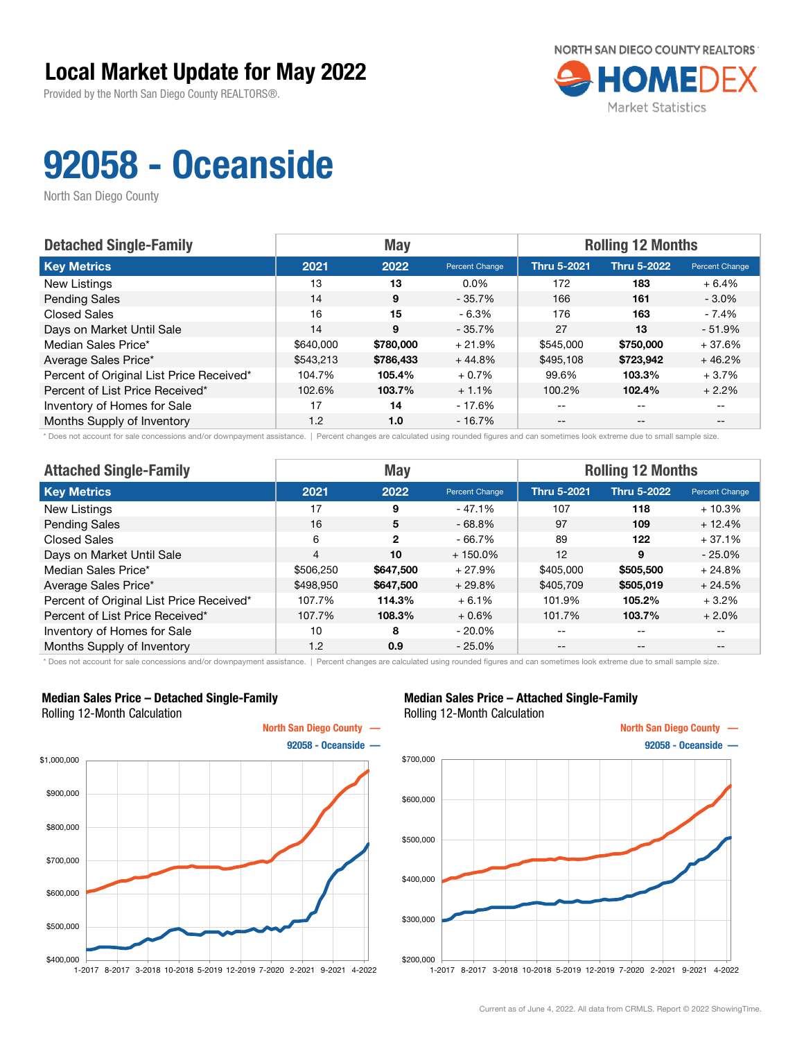Provided by the North San Diego County REALTORS®.



## 92058 - Oceanside

North San Diego County

| <b>Detached Single-Family</b>            |           | <b>May</b> |                | <b>Rolling 12 Months</b> |                    |                       |
|------------------------------------------|-----------|------------|----------------|--------------------------|--------------------|-----------------------|
| <b>Key Metrics</b>                       | 2021      | 2022       | Percent Change | <b>Thru 5-2021</b>       | <b>Thru 5-2022</b> | <b>Percent Change</b> |
| New Listings                             | 13        | 13         | $0.0\%$        | 172                      | 183                | $+6.4%$               |
| <b>Pending Sales</b>                     | 14        | 9          | $-35.7%$       | 166                      | 161                | $-3.0\%$              |
| <b>Closed Sales</b>                      | 16        | 15         | $-6.3\%$       | 176                      | 163                | - 7.4%                |
| Days on Market Until Sale                | 14        | 9          | $-35.7%$       | 27                       | 13                 | $-51.9%$              |
| Median Sales Price*                      | \$640,000 | \$780,000  | $+21.9%$       | \$545,000                | \$750,000          | $+37.6%$              |
| Average Sales Price*                     | \$543,213 | \$786,433  | $+44.8%$       | \$495.108                | \$723,942          | $+46.2%$              |
| Percent of Original List Price Received* | 104.7%    | 105.4%     | $+0.7%$        | 99.6%                    | 103.3%             | $+3.7%$               |
| Percent of List Price Received*          | 102.6%    | 103.7%     | $+1.1%$        | 100.2%                   | 102.4%             | $+2.2%$               |
| Inventory of Homes for Sale              | 17        | 14         | - 17.6%        | $- -$                    | $-$                |                       |
| Months Supply of Inventory               | 1.2       | 1.0        | $-16.7%$       | $- -$                    | $- -$              |                       |

\* Does not account for sale concessions and/or downpayment assistance. | Percent changes are calculated using rounded figures and can sometimes look extreme due to small sample size.

| <b>Attached Single-Family</b>            | <b>Rolling 12 Months</b><br><b>May</b> |                |                |                    |                    |                          |
|------------------------------------------|----------------------------------------|----------------|----------------|--------------------|--------------------|--------------------------|
| <b>Key Metrics</b>                       | 2021                                   | 2022           | Percent Change | <b>Thru 5-2021</b> | <b>Thru 5-2022</b> | Percent Change           |
| New Listings                             | 17                                     | 9              | $-47.1%$       | 107                | 118                | $+10.3%$                 |
| <b>Pending Sales</b>                     | 16                                     | 5              | $-68.8%$       | 97                 | 109                | $+12.4%$                 |
| <b>Closed Sales</b>                      | 6                                      | $\overline{2}$ | $-66.7%$       | 89                 | 122                | $+37.1%$                 |
| Days on Market Until Sale                | $\overline{4}$                         | 10             | $+150.0\%$     | 12                 | 9                  | $-25.0%$                 |
| Median Sales Price*                      | \$506,250                              | \$647,500      | $+27.9%$       | \$405,000          | \$505,500          | $+24.8%$                 |
| Average Sales Price*                     | \$498,950                              | \$647,500      | $+29.8%$       | \$405,709          | \$505,019          | $+24.5%$                 |
| Percent of Original List Price Received* | 107.7%                                 | 114.3%         | $+6.1%$        | 101.9%             | 105.2%             | $+3.2%$                  |
| Percent of List Price Received*          | 107.7%                                 | 108.3%         | $+0.6%$        | 101.7%             | 103.7%             | $+2.0%$                  |
| Inventory of Homes for Sale              | 10                                     | 8              | $-20.0\%$      | --                 | $- -$              | $\overline{\phantom{m}}$ |
| Months Supply of Inventory               | 1.2                                    | 0.9            | $-25.0%$       | $- -$              | $\qquad \qquad -$  | $- -$                    |

\* Does not account for sale concessions and/or downpayment assistance. | Percent changes are calculated using rounded figures and can sometimes look extreme due to small sample size.

### Median Sales Price – Detached Single-Family Rolling 12-Month Calculation